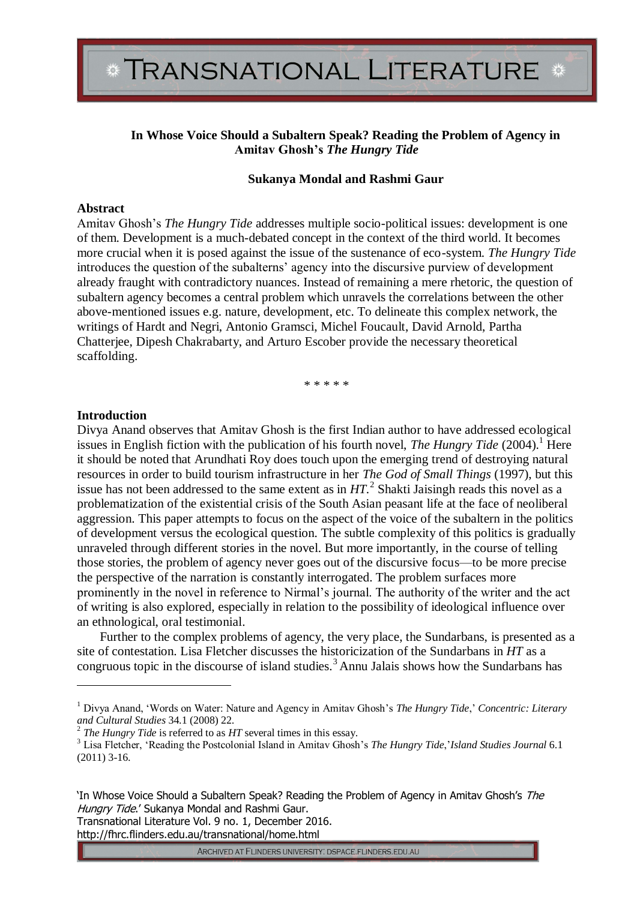## **In Whose Voice Should a Subaltern Speak? Reading the Problem of Agency in Amitav Ghosh's** *The Hungry Tide*

#### **Sukanya Mondal and Rashmi Gaur**

#### **Abstract**

Amitav Ghosh's *The Hungry Tide* addresses multiple socio-political issues: development is one of them. Development is a much-debated concept in the context of the third world. It becomes more crucial when it is posed against the issue of the sustenance of eco-system. *The Hungry Tide*  introduces the question of the subalterns' agency into the discursive purview of development already fraught with contradictory nuances. Instead of remaining a mere rhetoric, the question of subaltern agency becomes a central problem which unravels the correlations between the other above-mentioned issues e.g. nature, development, etc. To delineate this complex network, the writings of Hardt and Negri, Antonio Gramsci, Michel Foucault, David Arnold, Partha Chatterjee, Dipesh Chakrabarty, and Arturo Escober provide the necessary theoretical scaffolding.

\* \* \* \* \*

## **Introduction**

 $\overline{a}$ 

Divya Anand observes that Amitav Ghosh is the first Indian author to have addressed ecological issues in English fiction with the publication of his fourth novel, *The Hungry Tide* (2004).<sup>1</sup> Here it should be noted that Arundhati Roy does touch upon the emerging trend of destroying natural resources in order to build tourism infrastructure in her *The God of Small Things* (1997), but this issue has not been addressed to the same extent as in  $HT$ <sup>2</sup>. Shakti Jaisingh reads this novel as a problematization of the existential crisis of the South Asian peasant life at the face of neoliberal aggression. This paper attempts to focus on the aspect of the voice of the subaltern in the politics of development versus the ecological question. The subtle complexity of this politics is gradually unraveled through different stories in the novel. But more importantly, in the course of telling those stories, the problem of agency never goes out of the discursive focus—to be more precise the perspective of the narration is constantly interrogated. The problem surfaces more prominently in the novel in reference to Nirmal's journal. The authority of the writer and the act of writing is also explored, especially in relation to the possibility of ideological influence over an ethnological, oral testimonial.

Further to the complex problems of agency, the very place, the Sundarbans, is presented as a site of contestation. Lisa Fletcher discusses the historicization of the Sundarbans in *HT* as a congruous topic in the discourse of island studies.<sup>3</sup> Annu Jalais shows how the Sundarbans has

Transnational Literature Vol. 9 no. 1, December 2016. http://fhrc.flinders.edu.au/transnational/home.html

<sup>1</sup> Divya Anand, 'Words on Water: Nature and Agency in Amitav Ghosh's *The Hungry Tide*,' *Concentric: Literary and Cultural Studies* 34.1 (2008) 22.

<sup>2</sup> *The Hungry Tide* is referred to as *HT* several times in this essay.

<sup>3</sup> Lisa Fletcher, 'Reading the Postcolonial Island in Amitav Ghosh's *The Hungry Tide*,'*Island Studies Journal* 6.1 (2011) 3-16.

<sup>&#</sup>x27;In Whose Voice Should a Subaltern Speak? Reading the Problem of Agency in Amitav Ghosh's The Hungry Tide.' Sukanya Mondal and Rashmi Gaur.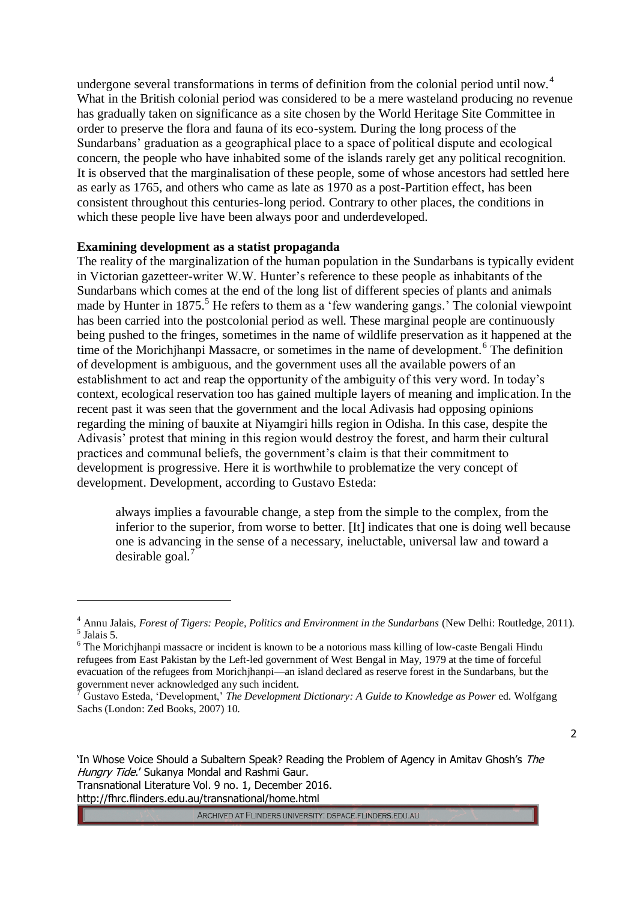undergone several transformations in terms of definition from the colonial period until now.<sup>4</sup> What in the British colonial period was considered to be a mere wasteland producing no revenue has gradually taken on significance as a site chosen by the World Heritage Site Committee in order to preserve the flora and fauna of its eco-system. During the long process of the Sundarbans' graduation as a geographical place to a space of political dispute and ecological concern, the people who have inhabited some of the islands rarely get any political recognition. It is observed that the marginalisation of these people, some of whose ancestors had settled here as early as 1765, and others who came as late as 1970 as a post-Partition effect, has been consistent throughout this centuries-long period. Contrary to other places, the conditions in which these people live have been always poor and underdeveloped.

## **Examining development as a statist propaganda**

The reality of the marginalization of the human population in the Sundarbans is typically evident in Victorian gazetteer-writer W.W. Hunter's reference to these people as inhabitants of the Sundarbans which comes at the end of the long list of different species of plants and animals made by Hunter in  $1875$ .<sup>5</sup> He refers to them as a 'few wandering gangs.' The colonial viewpoint has been carried into the postcolonial period as well. These marginal people are continuously being pushed to the fringes, sometimes in the name of wildlife preservation as it happened at the time of the Morichjhanpi Massacre, or sometimes in the name of development.<sup>6</sup> The definition of development is ambiguous, and the government uses all the available powers of an establishment to act and reap the opportunity of the ambiguity of this very word. In today's context, ecological reservation too has gained multiple layers of meaning and implication. In the recent past it was seen that the government and the local Adivasis had opposing opinions regarding the mining of bauxite at Niyamgiri hills region in Odisha. In this case, despite the Adivasis' protest that mining in this region would destroy the forest, and harm their cultural practices and communal beliefs, the government's claim is that their commitment to development is progressive. Here it is worthwhile to problematize the very concept of development. Development, according to Gustavo Esteda:

always implies a favourable change, a step from the simple to the complex, from the inferior to the superior, from worse to better. [It] indicates that one is doing well because one is advancing in the sense of a necessary, ineluctable, universal law and toward a desirable goal. $<sup>7</sup>$ </sup>

2

http://fhrc.flinders.edu.au/transnational/home.html

 $\overline{a}$ 

<sup>&</sup>lt;sup>4</sup> Annu Jalais, *Forest of Tigers: People, Politics and Environment in the Sundarbans (New Delhi: Routledge, 2011).* 5 Jalais 5.

<sup>&</sup>lt;sup>6</sup> The Morichjhanpi massacre or incident is known to be a notorious mass killing of low-caste Bengali Hindu refugees from East Pakistan by the Left-led government of West Bengal in May, 1979 at the time of forceful evacuation of the refugees from Morichjhanpi—an island declared as reserve forest in the Sundarbans, but the government never acknowledged any such incident.

<sup>7</sup> Gustavo Esteda, 'Development,' *The Development Dictionary: A Guide to Knowledge as Power* ed. Wolfgang Sachs (London: Zed Books, 2007) 10.

<sup>&#</sup>x27;In Whose Voice Should a Subaltern Speak? Reading the Problem of Agency in Amitav Ghosh's The Hungry Tide.' Sukanya Mondal and Rashmi Gaur. Transnational Literature Vol. 9 no. 1, December 2016.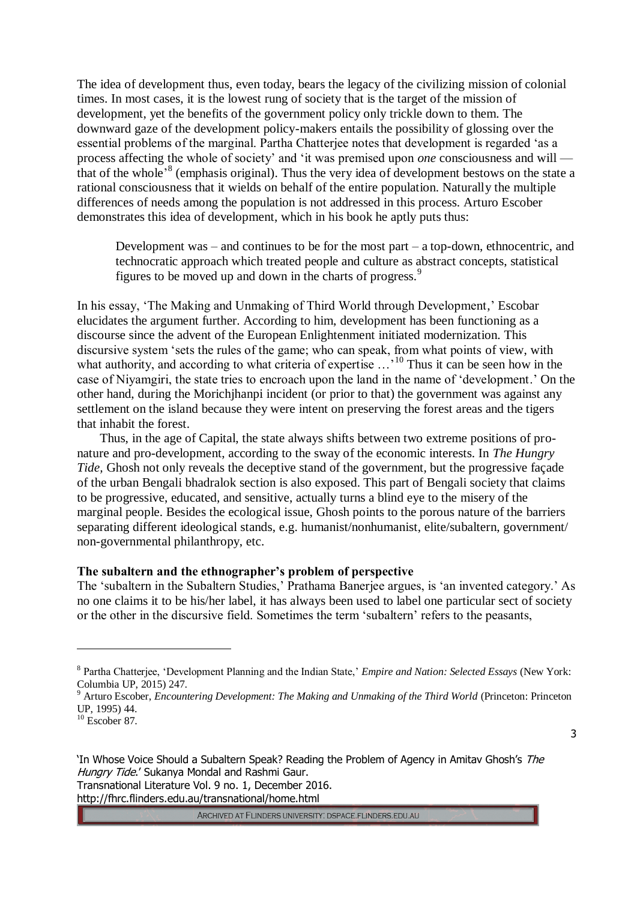The idea of development thus, even today, bears the legacy of the civilizing mission of colonial times. In most cases, it is the lowest rung of society that is the target of the mission of development, yet the benefits of the government policy only trickle down to them. The downward gaze of the development policy-makers entails the possibility of glossing over the essential problems of the marginal. Partha Chatterjee notes that development is regarded 'as a process affecting the whole of society' and 'it was premised upon *one* consciousness and will that of the whole<sup>,8</sup> (emphasis original). Thus the very idea of development bestows on the state a rational consciousness that it wields on behalf of the entire population. Naturally the multiple differences of needs among the population is not addressed in this process. Arturo Escober demonstrates this idea of development, which in his book he aptly puts thus:

Development was – and continues to be for the most part – a top-down, ethnocentric, and technocratic approach which treated people and culture as abstract concepts, statistical figures to be moved up and down in the charts of progress.<sup>9</sup>

In his essay, 'The Making and Unmaking of Third World through Development,' Escobar elucidates the argument further. According to him, development has been functioning as a discourse since the advent of the European Enlightenment initiated modernization. This discursive system 'sets the rules of the game; who can speak, from what points of view, with what authority, and according to what criteria of expertise ...<sup>'10</sup> Thus it can be seen how in the case of Niyamgiri, the state tries to encroach upon the land in the name of 'development.' On the other hand, during the Morichjhanpi incident (or prior to that) the government was against any settlement on the island because they were intent on preserving the forest areas and the tigers that inhabit the forest.

Thus, in the age of Capital, the state always shifts between two extreme positions of pronature and pro-development, according to the sway of the economic interests. In *The Hungry Tide,* Ghosh not only reveals the deceptive stand of the government, but the progressive façade of the urban Bengali bhadralok section is also exposed. This part of Bengali society that claims to be progressive, educated, and sensitive, actually turns a blind eye to the misery of the marginal people. Besides the ecological issue, Ghosh points to the porous nature of the barriers separating different ideological stands, e.g. humanist/nonhumanist, elite/subaltern, government/ non-governmental philanthropy, etc.

#### **The subaltern and the ethnographer's problem of perspective**

The 'subaltern in the Subaltern Studies,' Prathama Banerjee argues, is 'an invented category.' As no one claims it to be his/her label, it has always been used to label one particular sect of society or the other in the discursive field. Sometimes the term 'subaltern' refers to the peasants,

 $\overline{a}$ 

3

'In Whose Voice Should a Subaltern Speak? Reading the Problem of Agency in Amitav Ghosh's The Hungry Tide.' Sukanya Mondal and Rashmi Gaur. Transnational Literature Vol. 9 no. 1, December 2016. http://fhrc.flinders.edu.au/transnational/home.html

<sup>8</sup> Partha Chatterjee, 'Development Planning and the Indian State,' *Empire and Nation: Selected Essays* (New York: Columbia UP,  $2015$ ) 247.

<sup>9</sup> Arturo Escober, *Encountering Development: The Making and Unmaking of the Third World* (Princeton: Princeton UP, 1995) 44.

 $10$  Escober 87.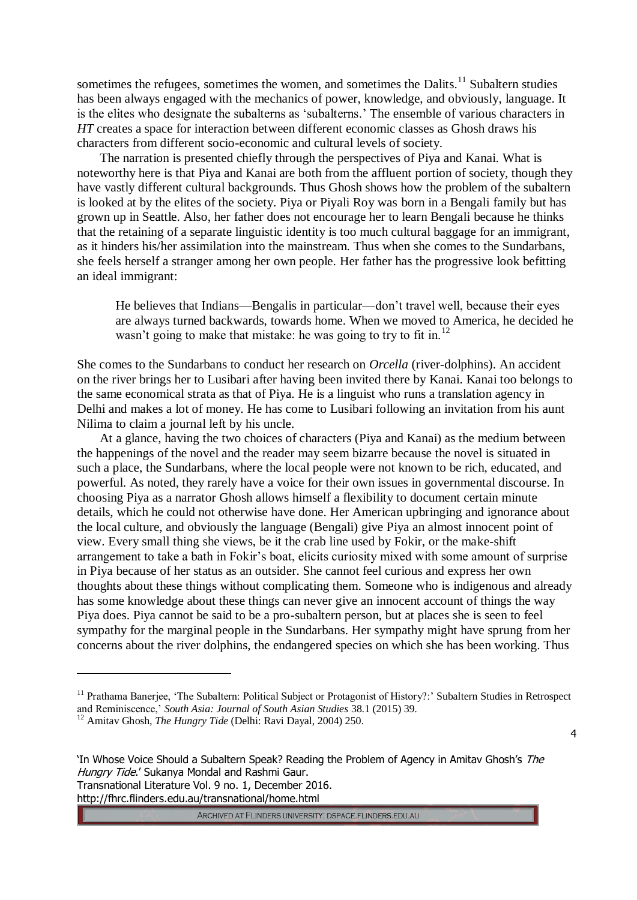sometimes the refugees, sometimes the women, and sometimes the Dalits.<sup>11</sup> Subaltern studies has been always engaged with the mechanics of power, knowledge, and obviously, language. It is the elites who designate the subalterns as 'subalterns.' The ensemble of various characters in *HT* creates a space for interaction between different economic classes as Ghosh draws his characters from different socio-economic and cultural levels of society.

The narration is presented chiefly through the perspectives of Piya and Kanai. What is noteworthy here is that Piya and Kanai are both from the affluent portion of society, though they have vastly different cultural backgrounds. Thus Ghosh shows how the problem of the subaltern is looked at by the elites of the society. Piya or Piyali Roy was born in a Bengali family but has grown up in Seattle. Also, her father does not encourage her to learn Bengali because he thinks that the retaining of a separate linguistic identity is too much cultural baggage for an immigrant, as it hinders his/her assimilation into the mainstream. Thus when she comes to the Sundarbans, she feels herself a stranger among her own people. Her father has the progressive look befitting an ideal immigrant:

He believes that Indians—Bengalis in particular—don't travel well, because their eyes are always turned backwards, towards home. When we moved to America, he decided he wasn't going to make that mistake: he was going to try to fit in.<sup>12</sup>

She comes to the Sundarbans to conduct her research on *Orcella* (river-dolphins). An accident on the river brings her to Lusibari after having been invited there by Kanai. Kanai too belongs to the same economical strata as that of Piya. He is a linguist who runs a translation agency in Delhi and makes a lot of money. He has come to Lusibari following an invitation from his aunt Nilima to claim a journal left by his uncle.

At a glance, having the two choices of characters (Piya and Kanai) as the medium between the happenings of the novel and the reader may seem bizarre because the novel is situated in such a place, the Sundarbans, where the local people were not known to be rich, educated, and powerful. As noted, they rarely have a voice for their own issues in governmental discourse. In choosing Piya as a narrator Ghosh allows himself a flexibility to document certain minute details, which he could not otherwise have done. Her American upbringing and ignorance about the local culture, and obviously the language (Bengali) give Piya an almost innocent point of view. Every small thing she views, be it the crab line used by Fokir, or the make-shift arrangement to take a bath in Fokir's boat, elicits curiosity mixed with some amount of surprise in Piya because of her status as an outsider. She cannot feel curious and express her own thoughts about these things without complicating them. Someone who is indigenous and already has some knowledge about these things can never give an innocent account of things the way Piya does. Piya cannot be said to be a pro-subaltern person, but at places she is seen to feel sympathy for the marginal people in the Sundarbans. Her sympathy might have sprung from her concerns about the river dolphins, the endangered species on which she has been working. Thus

 $\overline{a}$ 

4

<sup>&</sup>lt;sup>11</sup> Prathama Banerjee, 'The Subaltern: Political Subject or Protagonist of History?:' Subaltern Studies in Retrospect and Reminiscence,' *South Asia: Journal of South Asian Studies* 38.1 (2015) 39.

<sup>12</sup> Amitav Ghosh, *The Hungry Tide* (Delhi: Ravi Dayal, 2004) 250.

<sup>&#</sup>x27;In Whose Voice Should a Subaltern Speak? Reading the Problem of Agency in Amitav Ghosh's The Hungry Tide.' Sukanya Mondal and Rashmi Gaur. Transnational Literature Vol. 9 no. 1, December 2016. http://fhrc.flinders.edu.au/transnational/home.html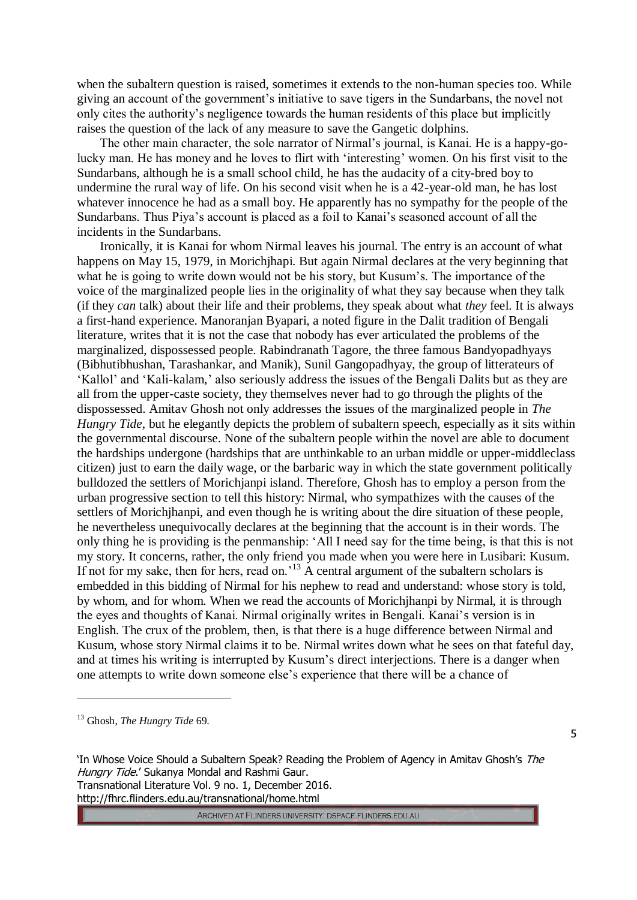when the subaltern question is raised, sometimes it extends to the non-human species too. While giving an account of the government's initiative to save tigers in the Sundarbans, the novel not only cites the authority's negligence towards the human residents of this place but implicitly raises the question of the lack of any measure to save the Gangetic dolphins.

The other main character, the sole narrator of Nirmal's journal, is Kanai. He is a happy-golucky man. He has money and he loves to flirt with 'interesting' women. On his first visit to the Sundarbans, although he is a small school child, he has the audacity of a city-bred boy to undermine the rural way of life. On his second visit when he is a 42-year-old man, he has lost whatever innocence he had as a small boy. He apparently has no sympathy for the people of the Sundarbans. Thus Piya's account is placed as a foil to Kanai's seasoned account of all the incidents in the Sundarbans.

Ironically, it is Kanai for whom Nirmal leaves his journal. The entry is an account of what happens on May 15, 1979, in Morichjhapi. But again Nirmal declares at the very beginning that what he is going to write down would not be his story, but Kusum's. The importance of the voice of the marginalized people lies in the originality of what they say because when they talk (if they *can* talk) about their life and their problems, they speak about what *they* feel. It is always a first-hand experience. Manoranjan Byapari, a noted figure in the Dalit tradition of Bengali literature, writes that it is not the case that nobody has ever articulated the problems of the marginalized, dispossessed people. Rabindranath Tagore, the three famous Bandyopadhyays (Bibhutibhushan, Tarashankar, and Manik), Sunil Gangopadhyay, the group of litterateurs of 'Kallol' and 'Kali-kalam,' also seriously address the issues of the Bengali Dalits but as they are all from the upper-caste society, they themselves never had to go through the plights of the dispossessed. Amitav Ghosh not only addresses the issues of the marginalized people in *The Hungry Tide*, but he elegantly depicts the problem of subaltern speech, especially as it sits within the governmental discourse. None of the subaltern people within the novel are able to document the hardships undergone (hardships that are unthinkable to an urban middle or upper-middleclass citizen) just to earn the daily wage, or the barbaric way in which the state government politically bulldozed the settlers of Morichjanpi island. Therefore, Ghosh has to employ a person from the urban progressive section to tell this history: Nirmal, who sympathizes with the causes of the settlers of Morichjhanpi, and even though he is writing about the dire situation of these people, he nevertheless unequivocally declares at the beginning that the account is in their words. The only thing he is providing is the penmanship: 'All I need say for the time being, is that this is not my story. It concerns, rather, the only friend you made when you were here in Lusibari: Kusum. If not for my sake, then for hers, read on.<sup>13</sup> A central argument of the subaltern scholars is embedded in this bidding of Nirmal for his nephew to read and understand: whose story is told, by whom, and for whom. When we read the accounts of Morichjhanpi by Nirmal, it is through the eyes and thoughts of Kanai. Nirmal originally writes in Bengali. Kanai's version is in English. The crux of the problem, then, is that there is a huge difference between Nirmal and Kusum, whose story Nirmal claims it to be. Nirmal writes down what he sees on that fateful day, and at times his writing is interrupted by Kusum's direct interjections. There is a danger when one attempts to write down someone else's experience that there will be a chance of

<sup>13</sup> Ghosh, *The Hungry Tide* 69.

 $\overline{a}$ 

'In Whose Voice Should a Subaltern Speak? Reading the Problem of Agency in Amitav Ghosh's The Hungry Tide.' Sukanya Mondal and Rashmi Gaur. Transnational Literature Vol. 9 no. 1, December 2016. http://fhrc.flinders.edu.au/transnational/home.html

ARCHIVED AT FLINDERS UNIVERSITY: DSPACE.FLINDERS.EDU.AU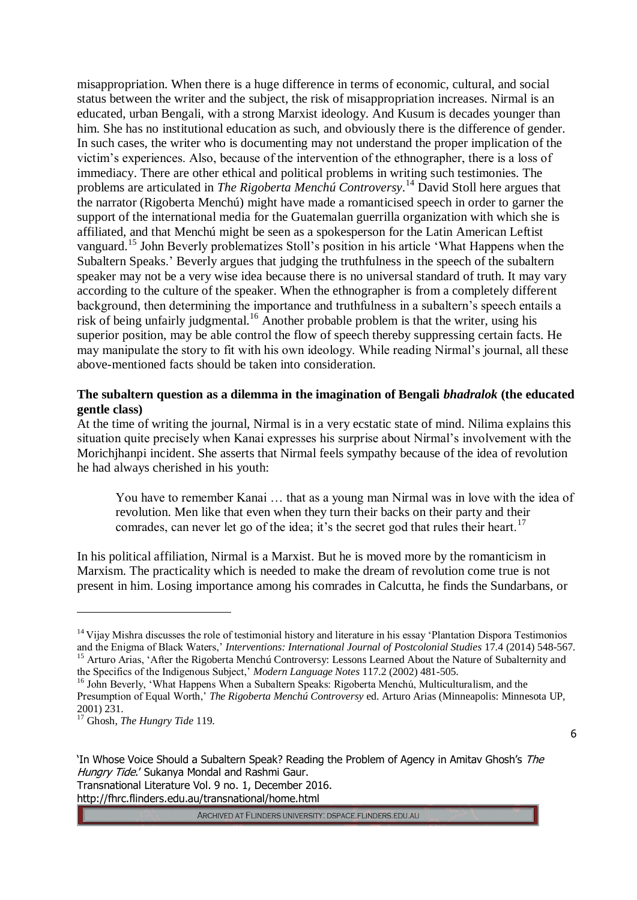misappropriation. When there is a huge difference in terms of economic, cultural, and social status between the writer and the subject, the risk of misappropriation increases. Nirmal is an educated, urban Bengali, with a strong Marxist ideology. And Kusum is decades younger than him. She has no institutional education as such, and obviously there is the difference of gender. In such cases, the writer who is documenting may not understand the proper implication of the victim's experiences. Also, because of the intervention of the ethnographer, there is a loss of immediacy. There are other ethical and political problems in writing such testimonies. The problems are articulated in *The Rigoberta Menchú Controversy*. <sup>14</sup> David Stoll here argues that the narrator (Rigoberta Menchú) might have made a romanticised speech in order to garner the support of the international media for the Guatemalan guerrilla organization with which she is affiliated, and that Menchú might be seen as a spokesperson for the Latin American Leftist vanguard.<sup>15</sup> John Beverly problematizes Stoll's position in his article 'What Happens when the Subaltern Speaks.' Beverly argues that judging the truthfulness in the speech of the subaltern speaker may not be a very wise idea because there is no universal standard of truth. It may vary according to the culture of the speaker. When the ethnographer is from a completely different background, then determining the importance and truthfulness in a subaltern's speech entails a risk of being unfairly judgmental.<sup>16</sup> Another probable problem is that the writer, using his superior position, may be able control the flow of speech thereby suppressing certain facts. He may manipulate the story to fit with his own ideology. While reading Nirmal's journal, all these above-mentioned facts should be taken into consideration.

# **The subaltern question as a dilemma in the imagination of Bengali** *bhadralok* **(the educated gentle class)**

At the time of writing the journal, Nirmal is in a very ecstatic state of mind. Nilima explains this situation quite precisely when Kanai expresses his surprise about Nirmal's involvement with the Morichjhanpi incident. She asserts that Nirmal feels sympathy because of the idea of revolution he had always cherished in his youth:

You have to remember Kanai … that as a young man Nirmal was in love with the idea of revolution. Men like that even when they turn their backs on their party and their comrades, can never let go of the idea; it's the secret god that rules their heart.<sup>17</sup>

In his political affiliation, Nirmal is a Marxist. But he is moved more by the romanticism in Marxism. The practicality which is needed to make the dream of revolution come true is not present in him. Losing importance among his comrades in Calcutta, he finds the Sundarbans, or

 $\overline{a}$ 

6

'In Whose Voice Should a Subaltern Speak? Reading the Problem of Agency in Amitav Ghosh's The Hungry Tide.' Sukanya Mondal and Rashmi Gaur. Transnational Literature Vol. 9 no. 1, December 2016. http://fhrc.flinders.edu.au/transnational/home.html

 $14$  Vijay Mishra discusses the role of testimonial history and literature in his essay 'Plantation Dispora Testimonios and the Enigma of Black Waters,' *Interventions: International Journal of Postcolonial Studies* 17.4 (2014) 548-567. <sup>15</sup> Arturo Arias, 'After the Rigoberta Menchú Controversy: Lessons Learned About the Nature of Subalternity and the Specifics of the Indigenous Subject,' *Modern Language Notes* 117.2 (2002) 481-505.

<sup>&</sup>lt;sup>16</sup> John Beverly, 'What Happens When a Subaltern Speaks: Rigoberta Menchú, Multiculturalism, and the Presumption of Equal Worth,' *The Rigoberta Menchú Controversy* ed. Arturo Arias (Minneapolis: Minnesota UP, 2001) 231.

<sup>17</sup> Ghosh, *The Hungry Tide* 119.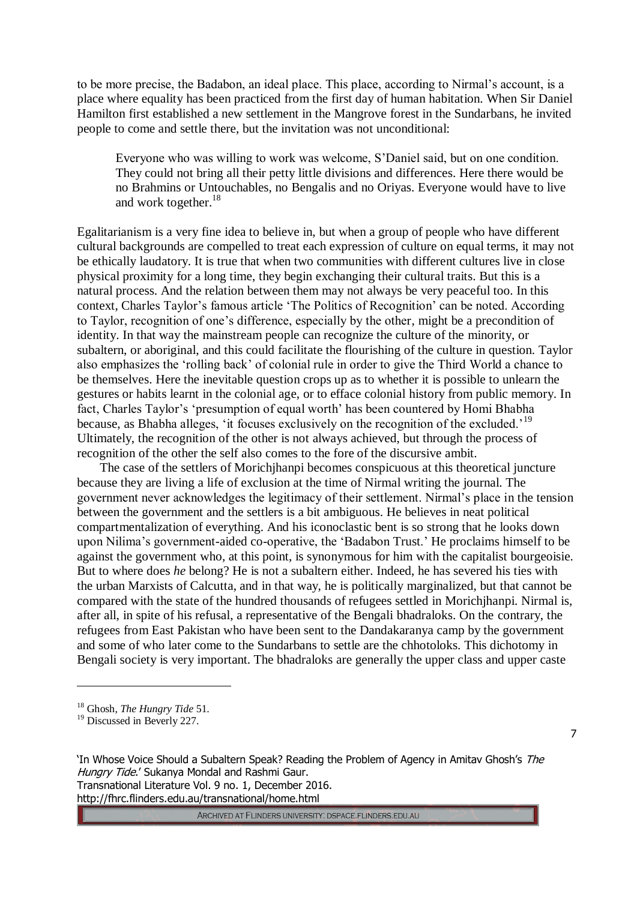to be more precise, the Badabon, an ideal place. This place, according to Nirmal's account, is a place where equality has been practiced from the first day of human habitation. When Sir Daniel Hamilton first established a new settlement in the Mangrove forest in the Sundarbans, he invited people to come and settle there, but the invitation was not unconditional:

Everyone who was willing to work was welcome, S'Daniel said, but on one condition. They could not bring all their petty little divisions and differences. Here there would be no Brahmins or Untouchables, no Bengalis and no Oriyas. Everyone would have to live and work together.<sup>18</sup>

Egalitarianism is a very fine idea to believe in, but when a group of people who have different cultural backgrounds are compelled to treat each expression of culture on equal terms, it may not be ethically laudatory. It is true that when two communities with different cultures live in close physical proximity for a long time, they begin exchanging their cultural traits. But this is a natural process. And the relation between them may not always be very peaceful too. In this context, Charles Taylor's famous article 'The Politics of Recognition' can be noted. According to Taylor, recognition of one's difference, especially by the other, might be a precondition of identity. In that way the mainstream people can recognize the culture of the minority, or subaltern, or aboriginal, and this could facilitate the flourishing of the culture in question. Taylor also emphasizes the 'rolling back' of colonial rule in order to give the Third World a chance to be themselves. Here the inevitable question crops up as to whether it is possible to unlearn the gestures or habits learnt in the colonial age, or to efface colonial history from public memory. In fact, Charles Taylor's 'presumption of equal worth' has been countered by Homi Bhabha because, as Bhabha alleges, 'it focuses exclusively on the recognition of the excluded.'<sup>19</sup> Ultimately, the recognition of the other is not always achieved, but through the process of recognition of the other the self also comes to the fore of the discursive ambit.

The case of the settlers of Morichjhanpi becomes conspicuous at this theoretical juncture because they are living a life of exclusion at the time of Nirmal writing the journal. The government never acknowledges the legitimacy of their settlement. Nirmal's place in the tension between the government and the settlers is a bit ambiguous. He believes in neat political compartmentalization of everything. And his iconoclastic bent is so strong that he looks down upon Nilima's government-aided co-operative, the 'Badabon Trust.' He proclaims himself to be against the government who, at this point, is synonymous for him with the capitalist bourgeoisie. But to where does *he* belong? He is not a subaltern either. Indeed, he has severed his ties with the urban Marxists of Calcutta, and in that way, he is politically marginalized, but that cannot be compared with the state of the hundred thousands of refugees settled in Morichjhanpi. Nirmal is, after all, in spite of his refusal, a representative of the Bengali bhadraloks. On the contrary, the refugees from East Pakistan who have been sent to the Dandakaranya camp by the government and some of who later come to the Sundarbans to settle are the chhotoloks. This dichotomy in Bengali society is very important. The bhadraloks are generally the upper class and upper caste

 $\overline{a}$ 

ARCHIVED AT FLINDERS UNIVERSITY: DSPACE.FLINDERS.EDU.AU

<sup>18</sup> Ghosh, *The Hungry Tide* 51.

<sup>19</sup> Discussed in Beverly 227.

<sup>&#</sup>x27;In Whose Voice Should a Subaltern Speak? Reading the Problem of Agency in Amitav Ghosh's The Hungry Tide.' Sukanya Mondal and Rashmi Gaur. Transnational Literature Vol. 9 no. 1, December 2016. http://fhrc.flinders.edu.au/transnational/home.html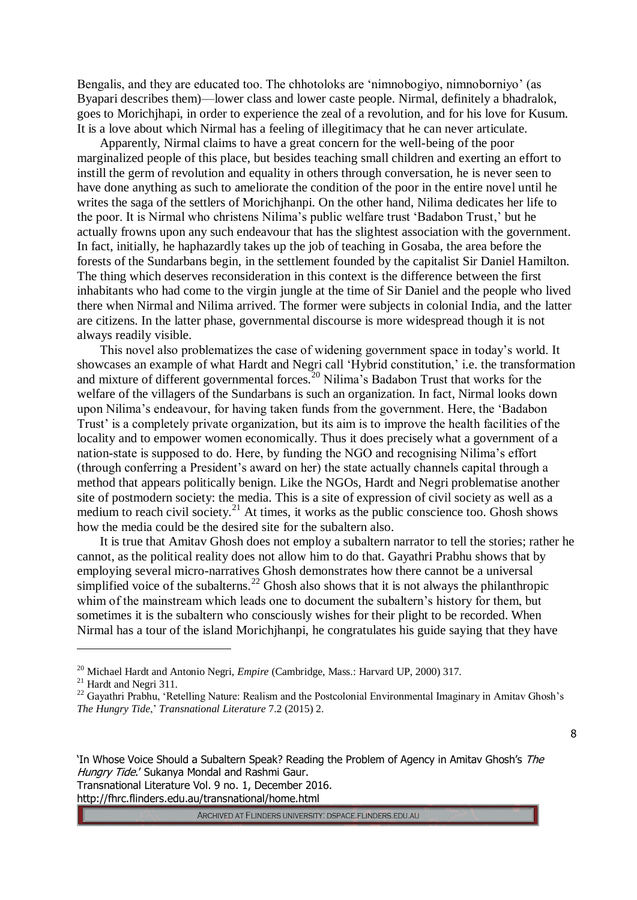Bengalis, and they are educated too. The chhotoloks are 'nimnobogiyo, nimnoborniyo' (as Byapari describes them)—lower class and lower caste people. Nirmal, definitely a bhadralok, goes to Morichjhapi, in order to experience the zeal of a revolution, and for his love for Kusum. It is a love about which Nirmal has a feeling of illegitimacy that he can never articulate.

Apparently, Nirmal claims to have a great concern for the well-being of the poor marginalized people of this place, but besides teaching small children and exerting an effort to instill the germ of revolution and equality in others through conversation, he is never seen to have done anything as such to ameliorate the condition of the poor in the entire novel until he writes the saga of the settlers of Morichjhanpi. On the other hand, Nilima dedicates her life to the poor. It is Nirmal who christens Nilima's public welfare trust 'Badabon Trust,' but he actually frowns upon any such endeavour that has the slightest association with the government. In fact, initially, he haphazardly takes up the job of teaching in Gosaba, the area before the forests of the Sundarbans begin, in the settlement founded by the capitalist Sir Daniel Hamilton. The thing which deserves reconsideration in this context is the difference between the first inhabitants who had come to the virgin jungle at the time of Sir Daniel and the people who lived there when Nirmal and Nilima arrived. The former were subjects in colonial India, and the latter are citizens. In the latter phase, governmental discourse is more widespread though it is not always readily visible.

This novel also problematizes the case of widening government space in today's world. It showcases an example of what Hardt and Negri call 'Hybrid constitution,' i.e. the transformation and mixture of different governmental forces.<sup>20</sup> Nilima's Badabon Trust that works for the welfare of the villagers of the Sundarbans is such an organization. In fact, Nirmal looks down upon Nilima's endeavour, for having taken funds from the government. Here, the 'Badabon Trust' is a completely private organization, but its aim is to improve the health facilities of the locality and to empower women economically. Thus it does precisely what a government of a nation-state is supposed to do. Here, by funding the NGO and recognising Nilima's effort (through conferring a President's award on her) the state actually channels capital through a method that appears politically benign. Like the NGOs, Hardt and Negri problematise another site of postmodern society: the media. This is a site of expression of civil society as well as a medium to reach civil society.<sup>21</sup> At times, it works as the public conscience too. Ghosh shows how the media could be the desired site for the subaltern also.

It is true that Amitav Ghosh does not employ a subaltern narrator to tell the stories; rather he cannot, as the political reality does not allow him to do that. Gayathri Prabhu shows that by employing several micro-narratives Ghosh demonstrates how there cannot be a universal simplified voice of the subalterns.<sup>22</sup> Ghosh also shows that it is not always the philanthropic whim of the mainstream which leads one to document the subaltern's history for them, but sometimes it is the subaltern who consciously wishes for their plight to be recorded. When Nirmal has a tour of the island Morichjhanpi, he congratulates his guide saying that they have

 $\overline{a}$ 

8

http://fhrc.flinders.edu.au/transnational/home.html

<sup>&</sup>lt;sup>20</sup> Michael Hardt and Antonio Negri, *Empire* (Cambridge, Mass.: Harvard UP, 2000) 317.

 $21$  Hardt and Negri 311.

<sup>&</sup>lt;sup>22</sup> Gavathri Prabhu, 'Retelling Nature: Realism and the Postcolonial Environmental Imaginary in Amitav Ghosh's *The Hungry Tide*,' *Transnational Literature* 7.2 (2015) 2.

<sup>&#</sup>x27;In Whose Voice Should a Subaltern Speak? Reading the Problem of Agency in Amitav Ghosh's The Hungry Tide.' Sukanya Mondal and Rashmi Gaur. Transnational Literature Vol. 9 no. 1, December 2016.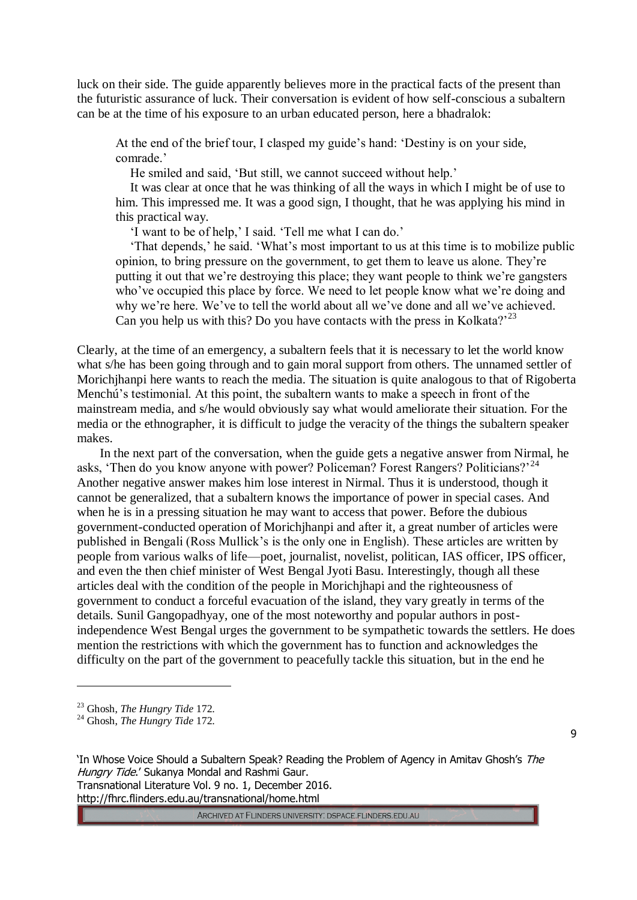luck on their side. The guide apparently believes more in the practical facts of the present than the futuristic assurance of luck. Their conversation is evident of how self-conscious a subaltern can be at the time of his exposure to an urban educated person, here a bhadralok:

At the end of the brief tour, I clasped my guide's hand: 'Destiny is on your side, comrade.'

He smiled and said, 'But still, we cannot succeed without help.'

It was clear at once that he was thinking of all the ways in which I might be of use to him. This impressed me. It was a good sign, I thought, that he was applying his mind in this practical way.

'I want to be of help,' I said. 'Tell me what I can do.'

'That depends,' he said. 'What's most important to us at this time is to mobilize public opinion, to bring pressure on the government, to get them to leave us alone. They're putting it out that we're destroying this place; they want people to think we're gangsters who've occupied this place by force. We need to let people know what we're doing and why we're here. We've to tell the world about all we've done and all we've achieved. Can you help us with this? Do you have contacts with the press in Kolkata?<sup>23</sup>

Clearly, at the time of an emergency, a subaltern feels that it is necessary to let the world know what s/he has been going through and to gain moral support from others. The unnamed settler of Morichjhanpi here wants to reach the media. The situation is quite analogous to that of Rigoberta Menchú's testimonial. At this point, the subaltern wants to make a speech in front of the mainstream media, and s/he would obviously say what would ameliorate their situation. For the media or the ethnographer, it is difficult to judge the veracity of the things the subaltern speaker makes.

In the next part of the conversation, when the guide gets a negative answer from Nirmal, he asks, 'Then do you know anyone with power? Policeman? Forest Rangers? Politicians?<sup>24</sup> Another negative answer makes him lose interest in Nirmal. Thus it is understood, though it cannot be generalized, that a subaltern knows the importance of power in special cases. And when he is in a pressing situation he may want to access that power. Before the dubious government-conducted operation of Morichjhanpi and after it, a great number of articles were published in Bengali (Ross Mullick's is the only one in English). These articles are written by people from various walks of life—poet, journalist, novelist, politican, IAS officer, IPS officer, and even the then chief minister of West Bengal Jyoti Basu. Interestingly, though all these articles deal with the condition of the people in Morichjhapi and the righteousness of government to conduct a forceful evacuation of the island, they vary greatly in terms of the details. Sunil Gangopadhyay, one of the most noteworthy and popular authors in postindependence West Bengal urges the government to be sympathetic towards the settlers. He does mention the restrictions with which the government has to function and acknowledges the difficulty on the part of the government to peacefully tackle this situation, but in the end he

 $\overline{a}$ 

ARCHIVED AT FLINDERS UNIVERSITY: DSPACE.FLINDERS.EDU.AU

<sup>23</sup> Ghosh, *The Hungry Tide* 172.

<sup>24</sup> Ghosh, *The Hungry Tide* 172.

<sup>&#</sup>x27;In Whose Voice Should a Subaltern Speak? Reading the Problem of Agency in Amitav Ghosh's The Hungry Tide.' Sukanya Mondal and Rashmi Gaur. Transnational Literature Vol. 9 no. 1, December 2016. http://fhrc.flinders.edu.au/transnational/home.html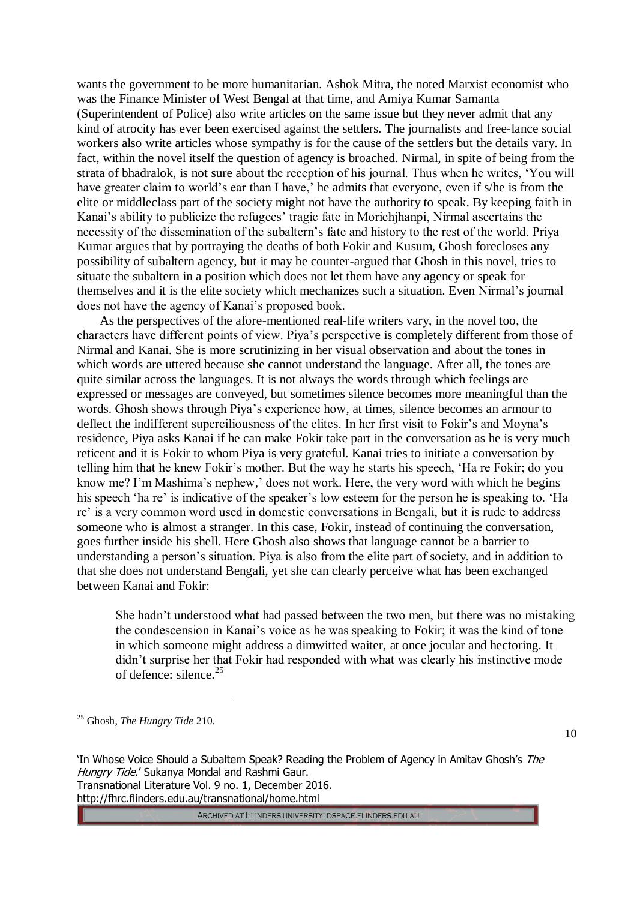wants the government to be more humanitarian. Ashok Mitra, the noted Marxist economist who was the Finance Minister of West Bengal at that time, and Amiya Kumar Samanta (Superintendent of Police) also write articles on the same issue but they never admit that any kind of atrocity has ever been exercised against the settlers. The journalists and free-lance social workers also write articles whose sympathy is for the cause of the settlers but the details vary. In fact, within the novel itself the question of agency is broached. Nirmal, in spite of being from the strata of bhadralok, is not sure about the reception of his journal. Thus when he writes, 'You will have greater claim to world's ear than I have,' he admits that everyone, even if s/he is from the elite or middleclass part of the society might not have the authority to speak. By keeping faith in Kanai's ability to publicize the refugees' tragic fate in Morichjhanpi, Nirmal ascertains the necessity of the dissemination of the subaltern's fate and history to the rest of the world. Priya Kumar argues that by portraying the deaths of both Fokir and Kusum, Ghosh forecloses any possibility of subaltern agency, but it may be counter-argued that Ghosh in this novel, tries to situate the subaltern in a position which does not let them have any agency or speak for themselves and it is the elite society which mechanizes such a situation. Even Nirmal's journal does not have the agency of Kanai's proposed book.

As the perspectives of the afore-mentioned real-life writers vary, in the novel too, the characters have different points of view. Piya's perspective is completely different from those of Nirmal and Kanai. She is more scrutinizing in her visual observation and about the tones in which words are uttered because she cannot understand the language. After all, the tones are quite similar across the languages. It is not always the words through which feelings are expressed or messages are conveyed, but sometimes silence becomes more meaningful than the words. Ghosh shows through Piya's experience how, at times, silence becomes an armour to deflect the indifferent superciliousness of the elites. In her first visit to Fokir's and Moyna's residence, Piya asks Kanai if he can make Fokir take part in the conversation as he is very much reticent and it is Fokir to whom Piya is very grateful. Kanai tries to initiate a conversation by telling him that he knew Fokir's mother. But the way he starts his speech, 'Ha re Fokir; do you know me? I'm Mashima's nephew,' does not work. Here, the very word with which he begins his speech 'ha re' is indicative of the speaker's low esteem for the person he is speaking to. 'Ha re' is a very common word used in domestic conversations in Bengali, but it is rude to address someone who is almost a stranger. In this case, Fokir, instead of continuing the conversation, goes further inside his shell. Here Ghosh also shows that language cannot be a barrier to understanding a person's situation. Piya is also from the elite part of society, and in addition to that she does not understand Bengali, yet she can clearly perceive what has been exchanged between Kanai and Fokir:

She hadn't understood what had passed between the two men, but there was no mistaking the condescension in Kanai's voice as he was speaking to Fokir; it was the kind of tone in which someone might address a dimwitted waiter, at once jocular and hectoring. It didn't surprise her that Fokir had responded with what was clearly his instinctive mode of defence: silence.<sup>25</sup>

<sup>25</sup> Ghosh, *The Hungry Tide* 210.

 $\overline{a}$ 

10

'In Whose Voice Should a Subaltern Speak? Reading the Problem of Agency in Amitav Ghosh's The Hungry Tide.' Sukanya Mondal and Rashmi Gaur. Transnational Literature Vol. 9 no. 1, December 2016. http://fhrc.flinders.edu.au/transnational/home.html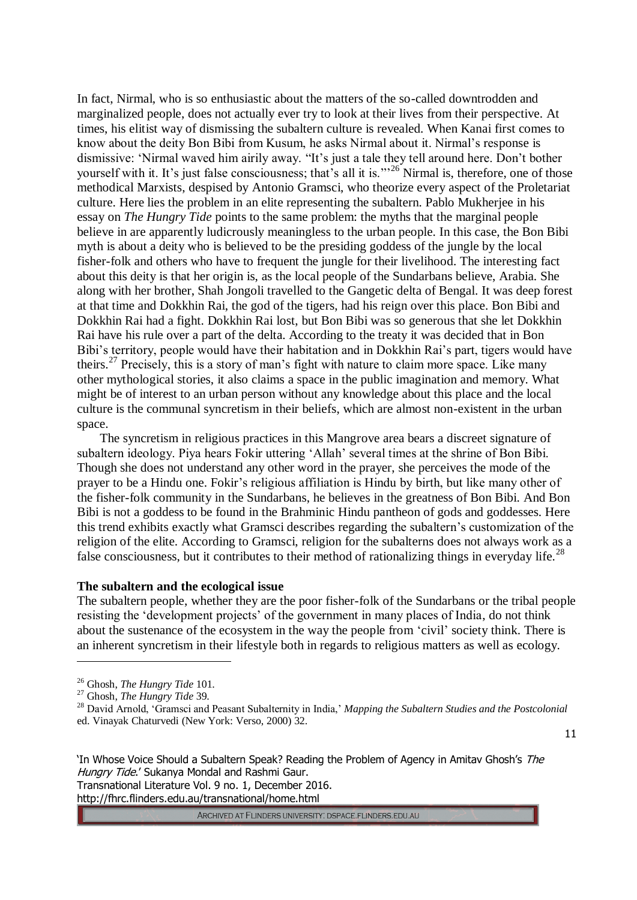In fact, Nirmal, who is so enthusiastic about the matters of the so-called downtrodden and marginalized people, does not actually ever try to look at their lives from their perspective. At times, his elitist way of dismissing the subaltern culture is revealed. When Kanai first comes to know about the deity Bon Bibi from Kusum, he asks Nirmal about it. Nirmal's response is dismissive: 'Nirmal waved him airily away. "It's just a tale they tell around here. Don't bother yourself with it. It's just false consciousness; that's all it is."<sup>26</sup> Nirmal is, therefore, one of those methodical Marxists, despised by Antonio Gramsci, who theorize every aspect of the Proletariat culture. Here lies the problem in an elite representing the subaltern. Pablo Mukherjee in his essay on *The Hungry Tide* points to the same problem: the myths that the marginal people believe in are apparently ludicrously meaningless to the urban people. In this case, the Bon Bibi myth is about a deity who is believed to be the presiding goddess of the jungle by the local fisher-folk and others who have to frequent the jungle for their livelihood. The interesting fact about this deity is that her origin is, as the local people of the Sundarbans believe, Arabia. She along with her brother, Shah Jongoli travelled to the Gangetic delta of Bengal. It was deep forest at that time and Dokkhin Rai, the god of the tigers, had his reign over this place. Bon Bibi and Dokkhin Rai had a fight. Dokkhin Rai lost, but Bon Bibi was so generous that she let Dokkhin Rai have his rule over a part of the delta. According to the treaty it was decided that in Bon Bibi's territory, people would have their habitation and in Dokkhin Rai's part, tigers would have theirs.<sup>27</sup> Precisely, this is a story of man's fight with nature to claim more space. Like many other mythological stories, it also claims a space in the public imagination and memory. What might be of interest to an urban person without any knowledge about this place and the local culture is the communal syncretism in their beliefs, which are almost non-existent in the urban space.

The syncretism in religious practices in this Mangrove area bears a discreet signature of subaltern ideology. Piya hears Fokir uttering 'Allah' several times at the shrine of Bon Bibi. Though she does not understand any other word in the prayer, she perceives the mode of the prayer to be a Hindu one. Fokir's religious affiliation is Hindu by birth, but like many other of the fisher-folk community in the Sundarbans, he believes in the greatness of Bon Bibi. And Bon Bibi is not a goddess to be found in the Brahminic Hindu pantheon of gods and goddesses. Here this trend exhibits exactly what Gramsci describes regarding the subaltern's customization of the religion of the elite. According to Gramsci, religion for the subalterns does not always work as a false consciousness, but it contributes to their method of rationalizing things in everyday life.<sup>28</sup>

#### **The subaltern and the ecological issue**

The subaltern people, whether they are the poor fisher-folk of the Sundarbans or the tribal people resisting the 'development projects' of the government in many places of India, do not think about the sustenance of the ecosystem in the way the people from 'civil' society think. There is an inherent syncretism in their lifestyle both in regards to religious matters as well as ecology.

 $\overline{a}$ 

11

'In Whose Voice Should a Subaltern Speak? Reading the Problem of Agency in Amitav Ghosh's The Hungry Tide.' Sukanya Mondal and Rashmi Gaur. Transnational Literature Vol. 9 no. 1, December 2016. http://fhrc.flinders.edu.au/transnational/home.html

<sup>26</sup> Ghosh, *The Hungry Tide* 101.

<sup>27</sup> Ghosh, *The Hungry Tide* 39.

<sup>28</sup> David Arnold, 'Gramsci and Peasant Subalternity in India,' *Mapping the Subaltern Studies and the Postcolonial* ed. Vinayak Chaturvedi (New York: Verso, 2000) 32.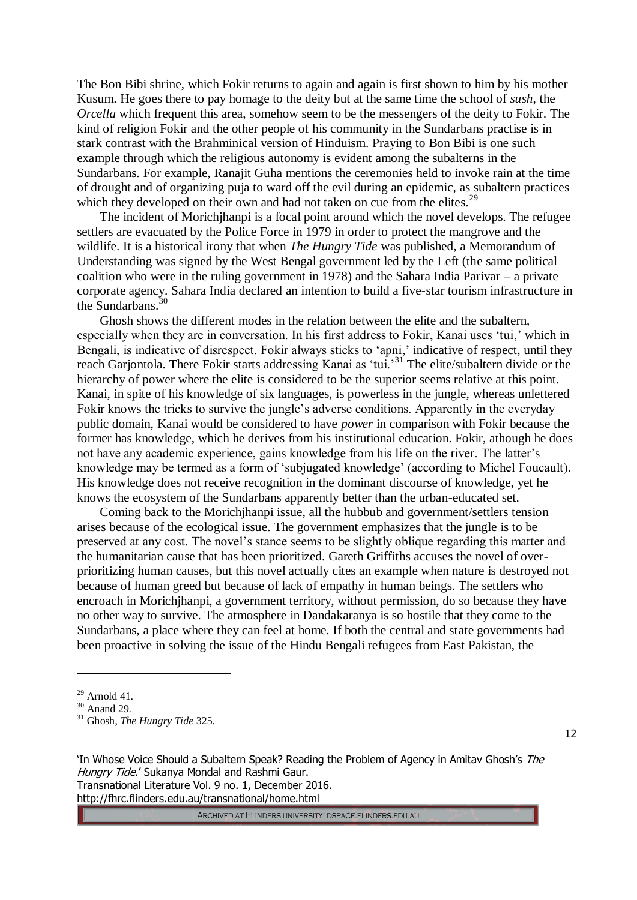The Bon Bibi shrine, which Fokir returns to again and again is first shown to him by his mother Kusum. He goes there to pay homage to the deity but at the same time the school of *sush*, the *Orcella* which frequent this area, somehow seem to be the messengers of the deity to Fokir. The kind of religion Fokir and the other people of his community in the Sundarbans practise is in stark contrast with the Brahminical version of Hinduism. Praying to Bon Bibi is one such example through which the religious autonomy is evident among the subalterns in the Sundarbans. For example, Ranajit Guha mentions the ceremonies held to invoke rain at the time of drought and of organizing puja to ward off the evil during an epidemic, as subaltern practices which they developed on their own and had not taken on cue from the elites.<sup>29</sup>

The incident of Morichjhanpi is a focal point around which the novel develops. The refugee settlers are evacuated by the Police Force in 1979 in order to protect the mangrove and the wildlife. It is a historical irony that when *The Hungry Tide* was published, a Memorandum of Understanding was signed by the West Bengal government led by the Left (the same political coalition who were in the ruling government in 1978) and the Sahara India Parivar – a private corporate agency. Sahara India declared an intention to build a five-star tourism infrastructure in the Sundarbans. $30$ 

Ghosh shows the different modes in the relation between the elite and the subaltern, especially when they are in conversation. In his first address to Fokir, Kanai uses 'tui,' which in Bengali, is indicative of disrespect. Fokir always sticks to 'apni,' indicative of respect, until they reach Garjontola. There Fokir starts addressing Kanai as 'tui.<sup>31</sup> The elite/subaltern divide or the hierarchy of power where the elite is considered to be the superior seems relative at this point. Kanai, in spite of his knowledge of six languages, is powerless in the jungle, whereas unlettered Fokir knows the tricks to survive the jungle's adverse conditions. Apparently in the everyday public domain, Kanai would be considered to have *power* in comparison with Fokir because the former has knowledge, which he derives from his institutional education. Fokir, athough he does not have any academic experience, gains knowledge from his life on the river. The latter's knowledge may be termed as a form of 'subjugated knowledge' (according to Michel Foucault). His knowledge does not receive recognition in the dominant discourse of knowledge, yet he knows the ecosystem of the Sundarbans apparently better than the urban-educated set.

Coming back to the Morichjhanpi issue, all the hubbub and government/settlers tension arises because of the ecological issue. The government emphasizes that the jungle is to be preserved at any cost. The novel's stance seems to be slightly oblique regarding this matter and the humanitarian cause that has been prioritized. Gareth Griffiths accuses the novel of overprioritizing human causes, but this novel actually cites an example when nature is destroyed not because of human greed but because of lack of empathy in human beings. The settlers who encroach in Morichjhanpi, a government territory, without permission, do so because they have no other way to survive. The atmosphere in Dandakaranya is so hostile that they come to the Sundarbans, a place where they can feel at home. If both the central and state governments had been proactive in solving the issue of the Hindu Bengali refugees from East Pakistan, the

 $\overline{a}$ 

12

'In Whose Voice Should a Subaltern Speak? Reading the Problem of Agency in Amitav Ghosh's The Hungry Tide.' Sukanya Mondal and Rashmi Gaur. Transnational Literature Vol. 9 no. 1, December 2016. http://fhrc.flinders.edu.au/transnational/home.html

 $29$  Arnold 41.

 $30$  Anand 29.

<sup>31</sup> Ghosh, *The Hungry Tide* 325.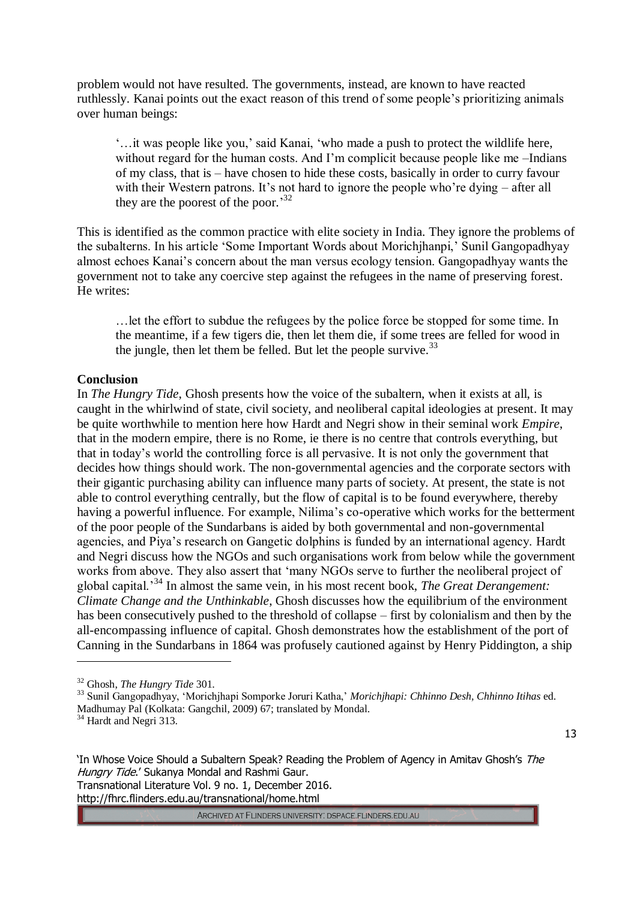problem would not have resulted. The governments, instead, are known to have reacted ruthlessly. Kanai points out the exact reason of this trend of some people's prioritizing animals over human beings:

'…it was people like you,' said Kanai, 'who made a push to protect the wildlife here, without regard for the human costs. And I'm complicit because people like me –Indians of my class, that is – have chosen to hide these costs, basically in order to curry favour with their Western patrons. It's not hard to ignore the people who're dying – after all they are the poorest of the poor.<sup>32</sup>

This is identified as the common practice with elite society in India. They ignore the problems of the subalterns. In his article 'Some Important Words about Morichjhanpi,' Sunil Gangopadhyay almost echoes Kanai's concern about the man versus ecology tension. Gangopadhyay wants the government not to take any coercive step against the refugees in the name of preserving forest. He writes:

…let the effort to subdue the refugees by the police force be stopped for some time. In the meantime, if a few tigers die, then let them die, if some trees are felled for wood in the jungle, then let them be felled. But let the people survive.  $33$ 

## **Conclusion**

In *The Hungry Tide*, Ghosh presents how the voice of the subaltern, when it exists at all, is caught in the whirlwind of state, civil society, and neoliberal capital ideologies at present. It may be quite worthwhile to mention here how Hardt and Negri show in their seminal work *Empire*, that in the modern empire, there is no Rome, ie there is no centre that controls everything, but that in today's world the controlling force is all pervasive. It is not only the government that decides how things should work. The non-governmental agencies and the corporate sectors with their gigantic purchasing ability can influence many parts of society. At present, the state is not able to control everything centrally, but the flow of capital is to be found everywhere, thereby having a powerful influence. For example, Nilima's co-operative which works for the betterment of the poor people of the Sundarbans is aided by both governmental and non-governmental agencies, and Piya's research on Gangetic dolphins is funded by an international agency. Hardt and Negri discuss how the NGOs and such organisations work from below while the government works from above. They also assert that 'many NGOs serve to further the neoliberal project of global capital.'<sup>34</sup> In almost the same vein, in his most recent book, *The Great Derangement: Climate Change and the Unthinkable*, Ghosh discusses how the equilibrium of the environment has been consecutively pushed to the threshold of collapse – first by colonialism and then by the all-encompassing influence of capital. Ghosh demonstrates how the establishment of the port of Canning in the Sundarbans in 1864 was profusely cautioned against by Henry Piddington, a ship

 $\overline{a}$ 

13

'In Whose Voice Should a Subaltern Speak? Reading the Problem of Agency in Amitav Ghosh's The Hungry Tide.' Sukanya Mondal and Rashmi Gaur. Transnational Literature Vol. 9 no. 1, December 2016. http://fhrc.flinders.edu.au/transnational/home.html

<sup>32</sup> Ghosh, *The Hungry Tide* 301.

<sup>33</sup> Sunil Gangopadhyay, 'Morichjhapi Somporke Joruri Katha,' *Morichjhapi: Chhinno Desh, Chhinno Itihas* ed. Madhumay Pal (Kolkata: Gangchil, 2009) 67; translated by Mondal.

<sup>&</sup>lt;sup>34</sup> Hardt and Negri 313.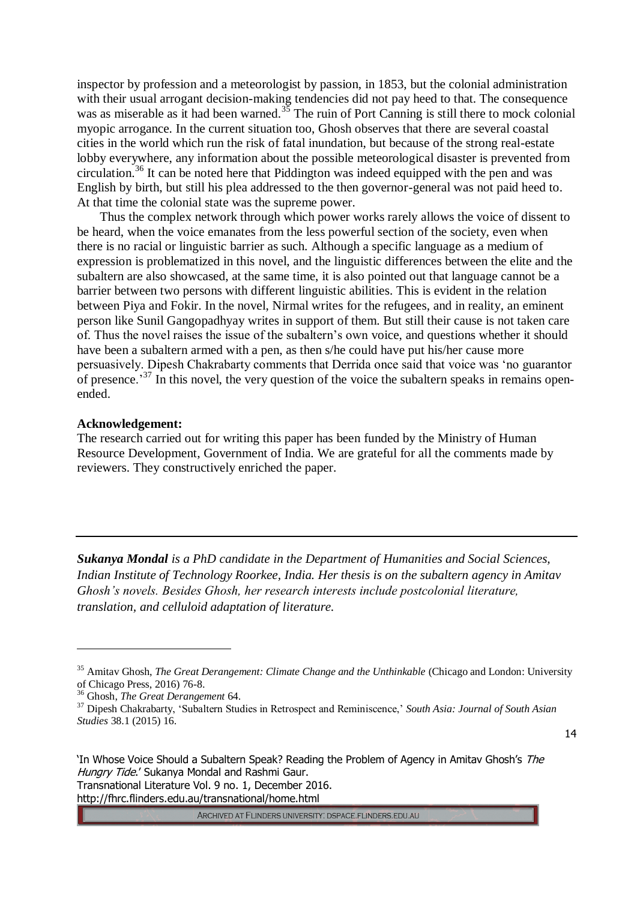inspector by profession and a meteorologist by passion, in 1853, but the colonial administration with their usual arrogant decision-making tendencies did not pay heed to that. The consequence was as miserable as it had been warned.<sup>35</sup> The ruin of Port Canning is still there to mock colonial myopic arrogance. In the current situation too, Ghosh observes that there are several coastal cities in the world which run the risk of fatal inundation, but because of the strong real-estate lobby everywhere, any information about the possible meteorological disaster is prevented from circulation.<sup>36</sup> It can be noted here that Piddington was indeed equipped with the pen and was English by birth, but still his plea addressed to the then governor-general was not paid heed to. At that time the colonial state was the supreme power.

Thus the complex network through which power works rarely allows the voice of dissent to be heard, when the voice emanates from the less powerful section of the society, even when there is no racial or linguistic barrier as such. Although a specific language as a medium of expression is problematized in this novel, and the linguistic differences between the elite and the subaltern are also showcased, at the same time, it is also pointed out that language cannot be a barrier between two persons with different linguistic abilities. This is evident in the relation between Piya and Fokir. In the novel, Nirmal writes for the refugees, and in reality, an eminent person like Sunil Gangopadhyay writes in support of them. But still their cause is not taken care of. Thus the novel raises the issue of the subaltern's own voice, and questions whether it should have been a subaltern armed with a pen, as then s/he could have put his/her cause more persuasively. Dipesh Chakrabarty comments that Derrida once said that voice was 'no guarantor of presence.<sup>37</sup> In this novel, the very question of the voice the subaltern speaks in remains openended.

#### **Acknowledgement:**

The research carried out for writing this paper has been funded by the Ministry of Human Resource Development, Government of India. We are grateful for all the comments made by reviewers. They constructively enriched the paper.

*Sukanya Mondal is a PhD candidate in the Department of Humanities and Social Sciences, Indian Institute of Technology Roorkee, India. Her thesis is on the subaltern agency in Amitav Ghosh's novels. Besides Ghosh, her research interests include postcolonial literature, translation, and celluloid adaptation of literature.*

14

 $\overline{a}$ 

'In Whose Voice Should a Subaltern Speak? Reading the Problem of Agency in Amitav Ghosh's The Hungry Tide.' Sukanya Mondal and Rashmi Gaur. Transnational Literature Vol. 9 no. 1, December 2016. http://fhrc.flinders.edu.au/transnational/home.html

<sup>&</sup>lt;sup>35</sup> Amitav Ghosh, *The Great Derangement: Climate Change and the Unthinkable* (Chicago and London: University of Chicago Press, 2016) 76-8.

<sup>36</sup> Ghosh, *The Great Derangement* 64.

<sup>37</sup> Dipesh Chakrabarty, 'Subaltern Studies in Retrospect and Reminiscence,' *South Asia: Journal of South Asian Studies* 38.1 (2015) 16.